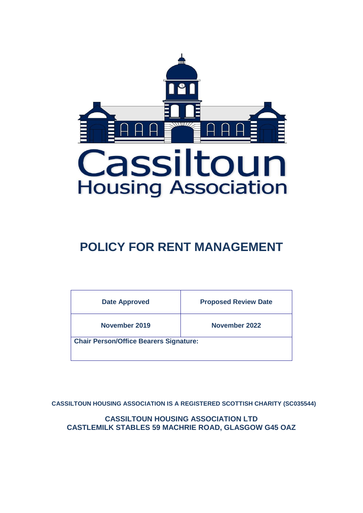

# **POLICY FOR RENT MANAGEMENT**

| <b>Date Approved</b>                          | <b>Proposed Review Date</b> |
|-----------------------------------------------|-----------------------------|
| November 2019                                 | <b>November 2022</b>        |
| <b>Chair Person/Office Bearers Signature:</b> |                             |

**CASSILTOUN HOUSING ASSOCIATION IS A REGISTERED SCOTTISH CHARITY (SC035544)**

**CASSILTOUN HOUSING ASSOCIATION LTD CASTLEMILK STABLES 59 MACHRIE ROAD, GLASGOW G45 OAZ**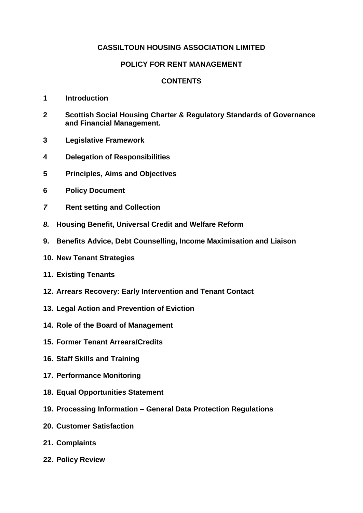# **CASSILTOUN HOUSING ASSOCIATION LIMITED**

# **POLICY FOR RENT MANAGEMENT**

# **CONTENTS**

- **1 Introduction**
- **2 Scottish Social Housing Charter & Regulatory Standards of Governance and Financial Management.**
- **3 Legislative Framework**
- **4 Delegation of Responsibilities**
- **5 Principles, Aims and Objectives**
- **6 Policy Document**
- *7* **Rent setting and Collection**
- *8.* **Housing Benefit, Universal Credit and Welfare Reform**
- **9. Benefits Advice, Debt Counselling, Income Maximisation and Liaison**
- **10. New Tenant Strategies**
- **11. Existing Tenants**
- **12. Arrears Recovery: Early Intervention and Tenant Contact**
- **13. Legal Action and Prevention of Eviction**
- **14. Role of the Board of Management**
- **15. Former Tenant Arrears/Credits**
- **16. Staff Skills and Training**
- **17. Performance Monitoring**
- **18. Equal Opportunities Statement**
- **19. Processing Information – General Data Protection Regulations**
- **20. Customer Satisfaction**
- **21. Complaints**
- **22. Policy Review**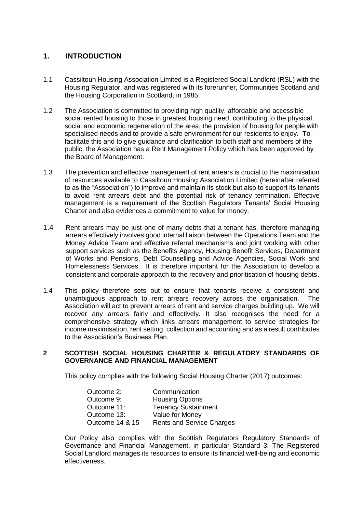# **1. INTRODUCTION**

- 1.1 Cassiltoun Housing Association Limited is a Registered Social Landlord (RSL) with the Housing Regulator, and was registered with its forerunner, Communities Scotland and the Housing Corporation in Scotland, in 1985.
- 1.2 The Association is committed to providing high quality, affordable and accessible social rented housing to those in greatest housing need, contributing to the physical, social and economic regeneration of the area, the provision of housing for people with specialised needs and to provide a safe environment for our residents to enjoy. To facilitate this and to give guidance and clarification to both staff and members of the public, the Association has a Rent Management Policy which has been approved by the Board of Management.
- 1.3 The prevention and effective management of rent arrears is crucial to the maximisation of resources available to Cassiltoun Housing Association Limited (hereinafter referred to as the "Association") to improve and maintain its stock but also to support its tenants to avoid rent arrears debt and the potential risk of tenancy termination. Effective management is a requirement of the Scottish Regulators Tenants' Social Housing Charter and also evidences a commitment to value for money.
- 1.4 Rent arrears may be just one of many debts that a tenant has, therefore managing arrears effectively involves good internal liaison between the Operations Team and the Money Advice Team and effective referral mechanisms and joint working with other support services such as the Benefits Agency, Housing Benefit Services, Department of Works and Pensions, Debt Counselling and Advice Agencies, Social Work and Homelessness Services. It is therefore important for the Association to develop a consistent and corporate approach to the recovery and prioritisation of housing debts.
- 1.4 This policy therefore sets out to ensure that tenants receive a consistent and unambiguous approach to rent arrears recovery across the organisation. The Association will act to prevent arrears of rent and service charges building up. We will recover any arrears fairly and effectively. It also recognises the need for a comprehensive strategy which links arrears management to service strategies for income maximisation, rent setting, collection and accounting and as a result contributes to the Association's Business Plan.

#### **2 SCOTTISH SOCIAL HOUSING CHARTER & REGULATORY STANDARDS OF GOVERNANCE AND FINANCIAL MANAGEMENT**

This policy complies with the following Social Housing Charter (2017) outcomes:

| Outcome 2:      | Communication                    |
|-----------------|----------------------------------|
| Outcome 9:      | <b>Housing Options</b>           |
| Outcome 11:     | <b>Tenancy Sustainment</b>       |
| Outcome 13:     | Value for Money                  |
| Outcome 14 & 15 | <b>Rents and Service Charges</b> |

Our Policy also complies with the Scottish Regulators Regulatory Standards of Governance and Financial Management, in particular Standard 3: The Registered Social Landlord manages its resources to ensure its financial well-being and economic effectiveness.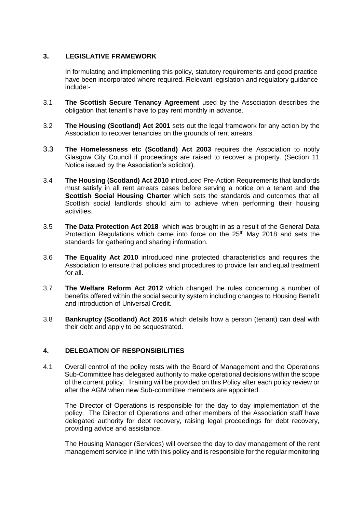## **3. LEGISLATIVE FRAMEWORK**

In formulating and implementing this policy, statutory requirements and good practice have been incorporated where required. Relevant legislation and regulatory guidance include:-

- 3.1 **The Scottish Secure Tenancy Agreement** used by the Association describes the obligation that tenant's have to pay rent monthly in advance.
- 3.2 **The Housing (Scotland) Act 2001** sets out the legal framework for any action by the Association to recover tenancies on the grounds of rent arrears.
- 3.3 **The Homelessness etc (Scotland) Act 2003** requires the Association to notify Glasgow City Council if proceedings are raised to recover a property. (Section 11 Notice issued by the Association's solicitor).
- 3.4 **The Housing (Scotland) Act 2010** introduced Pre-Action Requirements that landlords must satisfy in all rent arrears cases before serving a notice on a tenant and **the Scottish Social Housing Charter** which sets the standards and outcomes that all Scottish social landlords should aim to achieve when performing their housing activities.
- 3.5 **The Data Protection Act 2018** which was brought in as a result of the General Data Protection Regulations which came into force on the  $25<sup>th</sup>$  May 2018 and sets the standards for gathering and sharing information.
- 3.6 **The Equality Act 2010** introduced nine protected characteristics and requires the Association to ensure that policies and procedures to provide fair and equal treatment for all.
- 3.7 **The Welfare Reform Act 2012** which changed the rules concerning a number of benefits offered within the social security system including changes to Housing Benefit and introduction of Universal Credit.
- 3.8 **Bankruptcy (Scotland) Act 2016** which details how a person (tenant) can deal with their debt and apply to be sequestrated.

## **4. DELEGATION OF RESPONSIBILITIES**

4.1 Overall control of the policy rests with the Board of Management and the Operations Sub-Committee has delegated authority to make operational decisions within the scope of the current policy. Training will be provided on this Policy after each policy review or after the AGM when new Sub-committee members are appointed.

The Director of Operations is responsible for the day to day implementation of the policy. The Director of Operations and other members of the Association staff have delegated authority for debt recovery, raising legal proceedings for debt recovery, providing advice and assistance.

The Housing Manager (Services) will oversee the day to day management of the rent management service in line with this policy and is responsible for the regular monitoring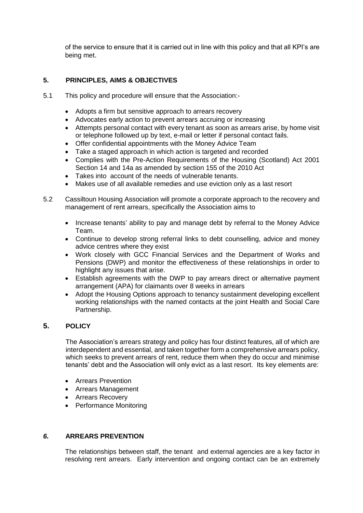of the service to ensure that it is carried out in line with this policy and that all KPI's are being met.

## **5. PRINCIPLES, AIMS & OBJECTIVES**

- 5.1 This policy and procedure will ensure that the Association:-
	- Adopts a firm but sensitive approach to arrears recovery
	- Advocates early action to prevent arrears accruing or increasing
	- Attempts personal contact with every tenant as soon as arrears arise, by home visit or telephone followed up by text, e-mail or letter if personal contact fails.
	- Offer confidential appointments with the Money Advice Team
	- Take a staged approach in which action is targeted and recorded
	- Complies with the Pre-Action Requirements of the Housing (Scotland) Act 2001 Section 14 and 14a as amended by section 155 of the 2010 Act
	- Takes into account of the needs of vulnerable tenants.
	- Makes use of all available remedies and use eviction only as a last resort
- 5.2 Cassiltoun Housing Association will promote a corporate approach to the recovery and management of rent arrears, specifically the Association aims to
	- Increase tenants' ability to pay and manage debt by referral to the Money Advice Team.
	- Continue to develop strong referral links to debt counselling, advice and money advice centres where they exist
	- Work closely with GCC Financial Services and the Department of Works and Pensions (DWP) and monitor the effectiveness of these relationships in order to highlight any issues that arise.
	- Establish agreements with the DWP to pay arrears direct or alternative payment arrangement (APA) for claimants over 8 weeks in arrears
	- Adopt the Housing Options approach to tenancy sustainment developing excellent working relationships with the named contacts at the joint Health and Social Care Partnership.

## **5. POLICY**

The Association's arrears strategy and policy has four distinct features, all of which are interdependent and essential, and taken together form a comprehensive arrears policy, which seeks to prevent arrears of rent, reduce them when they do occur and minimise tenants' debt and the Association will only evict as a last resort. Its key elements are:

- Arrears Prevention
- Arrears Management
- Arrears Recovery
- Performance Monitoring

## *6.* **ARREARS PREVENTION**

The relationships between staff, the tenant and external agencies are a key factor in resolving rent arrears. Early intervention and ongoing contact can be an extremely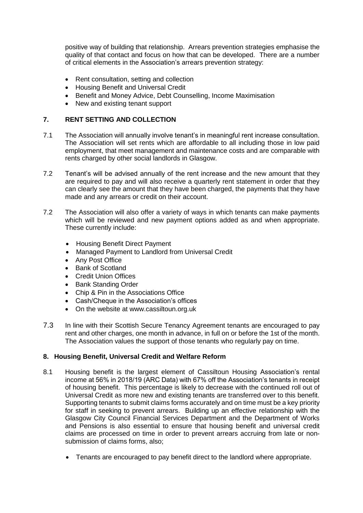positive way of building that relationship. Arrears prevention strategies emphasise the quality of that contact and focus on how that can be developed. There are a number of critical elements in the Association's arrears prevention strategy:

- Rent consultation, setting and collection
- Housing Benefit and Universal Credit
- Benefit and Money Advice, Debt Counselling, Income Maximisation
- New and existing tenant support

## **7. RENT SETTING AND COLLECTION**

- 7.1 The Association will annually involve tenant's in meaningful rent increase consultation. The Association will set rents which are affordable to all including those in low paid employment, that meet management and maintenance costs and are comparable with rents charged by other social landlords in Glasgow.
- 7.2 Tenant's will be advised annually of the rent increase and the new amount that they are required to pay and will also receive a quarterly rent statement in order that they can clearly see the amount that they have been charged, the payments that they have made and any arrears or credit on their account.
- 7.2 The Association will also offer a variety of ways in which tenants can make payments which will be reviewed and new payment options added as and when appropriate. These currently include:
	- Housing Benefit Direct Payment
	- Managed Payment to Landlord from Universal Credit
	- Any Post Office
	- Bank of Scotland
	- Credit Union Offices
	- Bank Standing Order
	- Chip & Pin in the Associations Office
	- Cash/Cheque in the Association's offices
	- On the website at www.cassiltoun.org.uk
- 7.3 In line with their Scottish Secure Tenancy Agreement tenants are encouraged to pay rent and other charges, one month in advance, in full on or before the 1st of the month. The Association values the support of those tenants who regularly pay on time.

## **8. Housing Benefit, Universal Credit and Welfare Reform**

- 8.1 Housing benefit is the largest element of Cassiltoun Housing Association's rental income at 56% in 2018/19 (ARC Data) with 67% off the Association's tenants in receipt of housing benefit. This percentage is likely to decrease with the continued roll out of Universal Credit as more new and existing tenants are transferred over to this benefit. Supporting tenants to submit claims forms accurately and on time must be a key priority for staff in seeking to prevent arrears. Building up an effective relationship with the Glasgow City Council Financial Services Department and the Department of Works and Pensions is also essential to ensure that housing benefit and universal credit claims are processed on time in order to prevent arrears accruing from late or nonsubmission of claims forms, also;
	- Tenants are encouraged to pay benefit direct to the landlord where appropriate.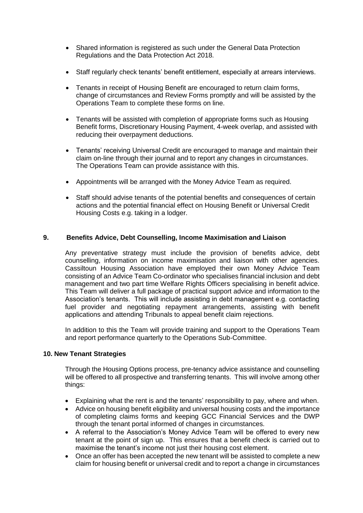- Shared information is registered as such under the General Data Protection Regulations and the Data Protection Act 2018.
- Staff regularly check tenants' benefit entitlement, especially at arrears interviews.
- Tenants in receipt of Housing Benefit are encouraged to return claim forms, change of circumstances and Review Forms promptly and will be assisted by the Operations Team to complete these forms on line.
- Tenants will be assisted with completion of appropriate forms such as Housing Benefit forms, Discretionary Housing Payment, 4-week overlap, and assisted with reducing their overpayment deductions.
- Tenants' receiving Universal Credit are encouraged to manage and maintain their claim on-line through their journal and to report any changes in circumstances. The Operations Team can provide assistance with this.
- Appointments will be arranged with the Money Advice Team as required.
- Staff should advise tenants of the potential benefits and consequences of certain actions and the potential financial effect on Housing Benefit or Universal Credit Housing Costs e.g. taking in a lodger.

## **9. Benefits Advice, Debt Counselling, Income Maximisation and Liaison**

Any preventative strategy must include the provision of benefits advice, debt counselling, information on income maximisation and liaison with other agencies. Cassiltoun Housing Association have employed their own Money Advice Team consisting of an Advice Team Co-ordinator who specialises financial inclusion and debt management and two part time Welfare Rights Officers specialising in benefit advice. This Team will deliver a full package of practical support advice and information to the Association's tenants. This will include assisting in debt management e.g. contacting fuel provider and negotiating repayment arrangements, assisting with benefit applications and attending Tribunals to appeal benefit claim rejections.

In addition to this the Team will provide training and support to the Operations Team and report performance quarterly to the Operations Sub-Committee.

## **10. New Tenant Strategies**

Through the Housing Options process, pre-tenancy advice assistance and counselling will be offered to all prospective and transferring tenants. This will involve among other things:

- Explaining what the rent is and the tenants' responsibility to pay, where and when.
- Advice on housing benefit eligibility and universal housing costs and the importance of completing claims forms and keeping GCC Financial Services and the DWP through the tenant portal informed of changes in circumstances.
- A referral to the Association's Money Advice Team will be offered to every new tenant at the point of sign up. This ensures that a benefit check is carried out to maximise the tenant's income not just their housing cost element.
- Once an offer has been accepted the new tenant will be assisted to complete a new claim for housing benefit or universal credit and to report a change in circumstances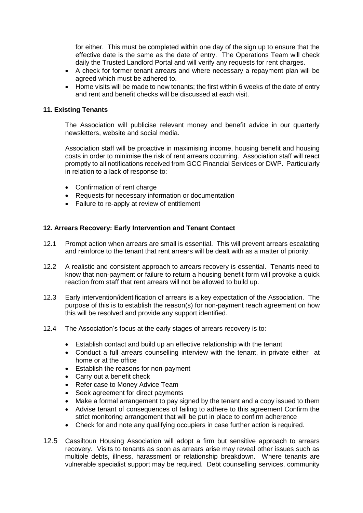for either. This must be completed within one day of the sign up to ensure that the effective date is the same as the date of entry. The Operations Team will check daily the Trusted Landlord Portal and will verify any requests for rent charges.

- A check for former tenant arrears and where necessary a repayment plan will be agreed which must be adhered to.
- Home visits will be made to new tenants; the first within 6 weeks of the date of entry and rent and benefit checks will be discussed at each visit.

#### **11. Existing Tenants**

The Association will publicise relevant money and benefit advice in our quarterly newsletters, website and social media.

Association staff will be proactive in maximising income, housing benefit and housing costs in order to minimise the risk of rent arrears occurring. Association staff will react promptly to all notifications received from GCC Financial Services or DWP. Particularly in relation to a lack of response to:

- Confirmation of rent charge
- Requests for necessary information or documentation
- Failure to re-apply at review of entitlement

#### **12. Arrears Recovery: Early Intervention and Tenant Contact**

- 12.1 Prompt action when arrears are small is essential. This will prevent arrears escalating and reinforce to the tenant that rent arrears will be dealt with as a matter of priority.
- 12.2 A realistic and consistent approach to arrears recovery is essential. Tenants need to know that non-payment or failure to return a housing benefit form will provoke a quick reaction from staff that rent arrears will not be allowed to build up.
- 12.3 Early intervention/identification of arrears is a key expectation of the Association. The purpose of this is to establish the reason(s) for non-payment reach agreement on how this will be resolved and provide any support identified.
- 12.4 The Association's focus at the early stages of arrears recovery is to:
	- Establish contact and build up an effective relationship with the tenant
	- Conduct a full arrears counselling interview with the tenant, in private either at home or at the office
	- Establish the reasons for non-payment
	- Carry out a benefit check
	- Refer case to Money Advice Team
	- Seek agreement for direct payments
	- Make a formal arrangement to pay signed by the tenant and a copy issued to them
	- Advise tenant of consequences of failing to adhere to this agreement Confirm the strict monitoring arrangement that will be put in place to confirm adherence
	- Check for and note any qualifying occupiers in case further action is required.
- 12.5 Cassiltoun Housing Association will adopt a firm but sensitive approach to arrears recovery. Visits to tenants as soon as arrears arise may reveal other issues such as multiple debts, illness, harassment or relationship breakdown. Where tenants are vulnerable specialist support may be required. Debt counselling services, community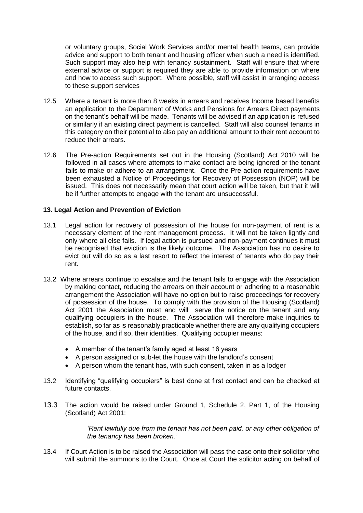or voluntary groups, Social Work Services and/or mental health teams, can provide advice and support to both tenant and housing officer when such a need is identified. Such support may also help with tenancy sustainment. Staff will ensure that where external advice or support is required they are able to provide information on where and how to access such support. Where possible, staff will assist in arranging access to these support services

- 12.5 Where a tenant is more than 8 weeks in arrears and receives Income based benefits an application to the Department of Works and Pensions for Arrears Direct payments on the tenant's behalf will be made. Tenants will be advised if an application is refused or similarly if an existing direct payment is cancelled. Staff will also counsel tenants in this category on their potential to also pay an additional amount to their rent account to reduce their arrears.
- 12.6 The Pre-action Requirements set out in the Housing (Scotland) Act 2010 will be followed in all cases where attempts to make contact are being ignored or the tenant fails to make or adhere to an arrangement. Once the Pre-action requirements have been exhausted a Notice of Proceedings for Recovery of Possession (NOP) will be issued. This does not necessarily mean that court action will be taken, but that it will be if further attempts to engage with the tenant are unsuccessful.

## **13. Legal Action and Prevention of Eviction**

- 13.1 Legal action for recovery of possession of the house for non-payment of rent is a necessary element of the rent management process. It will not be taken lightly and only where all else fails. If legal action is pursued and non-payment continues it must be recognised that eviction is the likely outcome. The Association has no desire to evict but will do so as a last resort to reflect the interest of tenants who do pay their rent.
- 13.2 Where arrears continue to escalate and the tenant fails to engage with the Association by making contact, reducing the arrears on their account or adhering to a reasonable arrangement the Association will have no option but to raise proceedings for recovery of possession of the house. To comply with the provision of the Housing (Scotland) Act 2001 the Association must and will serve the notice on the tenant and any qualifying occupiers in the house. The Association will therefore make inquiries to establish, so far as is reasonably practicable whether there are any qualifying occupiers of the house, and if so, their identities. Qualifying occupier means:
	- A member of the tenant's family aged at least 16 years
	- A person assigned or sub-let the house with the landlord's consent
	- A person whom the tenant has, with such consent, taken in as a lodger
- 13.2 Identifying "qualifying occupiers" is best done at first contact and can be checked at future contacts.
- 13.3 The action would be raised under Ground 1, Schedule 2, Part 1, of the Housing (Scotland) Act 2001:

*'Rent lawfully due from the tenant has not been paid, or any other obligation of the tenancy has been broken.'*

13.4 If Court Action is to be raised the Association will pass the case onto their solicitor who will submit the summons to the Court. Once at Court the solicitor acting on behalf of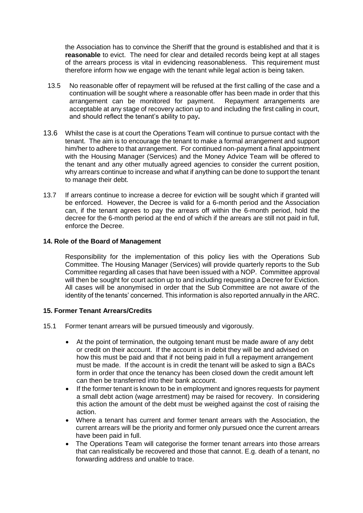the Association has to convince the Sheriff that the ground is established and that it is **reasonable** to evict. The need for clear and detailed records being kept at all stages of the arrears process is vital in evidencing reasonableness. This requirement must therefore inform how we engage with the tenant while legal action is being taken.

- 13.5 No reasonable offer of repayment will be refused at the first calling of the case and a continuation will be sought where a reasonable offer has been made in order that this arrangement can be monitored for payment. Repayment arrangements are acceptable at any stage of recovery action up to and including the first calling in court, and should reflect the tenant's ability to pay**.**
- 13.6 Whilst the case is at court the Operations Team will continue to pursue contact with the tenant. The aim is to encourage the tenant to make a formal arrangement and support him/her to adhere to that arrangement. For continued non-payment a final appointment with the Housing Manager (Services) and the Money Advice Team will be offered to the tenant and any other mutually agreed agencies to consider the current position, why arrears continue to increase and what if anything can be done to support the tenant to manage their debt.
- 13.7 If arrears continue to increase a decree for eviction will be sought which if granted will be enforced. However, the Decree is valid for a 6-month period and the Association can, if the tenant agrees to pay the arrears off within the 6-month period, hold the decree for the 6-month period at the end of which if the arrears are still not paid in full, enforce the Decree.

#### **14. Role of the Board of Management**

Responsibility for the implementation of this policy lies with the Operations Sub Committee. The Housing Manager (Services) will provide quarterly reports to the Sub Committee regarding all cases that have been issued with a NOP. Committee approval will then be sought for court action up to and including requesting a Decree for Eviction. All cases will be anonymised in order that the Sub Committee are not aware of the identity of the tenants' concerned. This information is also reported annually in the ARC.

## **15. Former Tenant Arrears/Credits**

- 15.1 Former tenant arrears will be pursued timeously and vigorously.
	- At the point of termination, the outgoing tenant must be made aware of any debt or credit on their account. If the account is in debit they will be and advised on how this must be paid and that if not being paid in full a repayment arrangement must be made. If the account is in credit the tenant will be asked to sign a BACs form in order that once the tenancy has been closed down the credit amount left can then be transferred into their bank account.
	- If the former tenant is known to be in employment and ignores requests for payment a small debt action (wage arrestment) may be raised for recovery. In considering this action the amount of the debt must be weighed against the cost of raising the action.
	- Where a tenant has current and former tenant arrears with the Association, the current arrears will be the priority and former only pursued once the current arrears have been paid in full.
	- The Operations Team will categorise the former tenant arrears into those arrears that can realistically be recovered and those that cannot. E.g. death of a tenant, no forwarding address and unable to trace.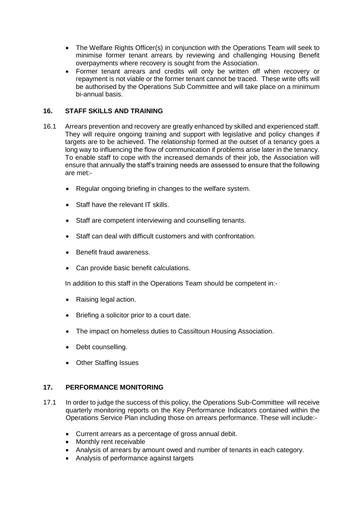- The Welfare Rights Officer(s) in conjunction with the Operations Team will seek to minimise former tenant arrears by reviewing and challenging Housing Benefit overpayments where recovery is sought from the Association.
- Former tenant arrears and credits will only be written off when recovery or repayment is not viable or the former tenant cannot be traced. These write offs will be authorised by the Operations Sub Committee and will take place on a minimum bi-annual basis.

# **16. STAFF SKILLS AND TRAINING**

- 16.1 Arrears prevention and recovery are greatly enhanced by skilled and experienced staff. They will require ongoing training and support with legislative and policy changes if targets are to be achieved. The relationship formed at the outset of a tenancy goes a long way to influencing the flow of communication if problems arise later in the tenancy. To enable staff to cope with the increased demands of their job, the Association will ensure that annually the staff's training needs are assessed to ensure that the following are met:-
	- Regular ongoing briefing in changes to the welfare system.
	- Staff have the relevant IT skills.
	- Staff are competent interviewing and counselling tenants.
	- Staff can deal with difficult customers and with confrontation.
	- Benefit fraud awareness.
	- Can provide basic benefit calculations.

In addition to this staff in the Operations Team should be competent in:-

- Raising legal action.
- Briefing a solicitor prior to a court date.
- The impact on homeless duties to Cassiltoun Housing Association.
- Debt counselling.
- Other Staffing Issues

## **17. PERFORMANCE MONITORING**

- 17.1 In order to judge the success of this policy, the Operations Sub-Committee will receive quarterly monitoring reports on the Key Performance Indicators contained within the Operations Service Plan including those on arrears performance. These will include:-
	- Current arrears as a percentage of gross annual debit.
	- Monthly rent receivable
	- Analysis of arrears by amount owed and number of tenants in each category.
	- Analysis of performance against targets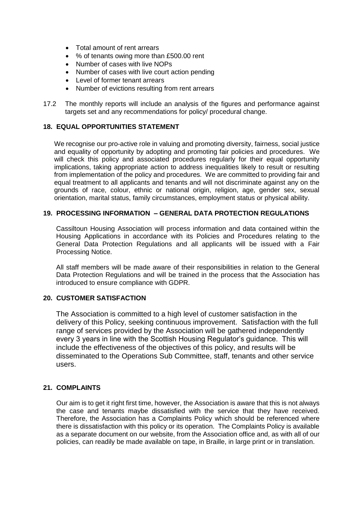- Total amount of rent arrears
- % of tenants owing more than £500.00 rent
- Number of cases with live NOPs
- Number of cases with live court action pending
- Level of former tenant arrears
- Number of evictions resulting from rent arrears
- 17.2 The monthly reports will include an analysis of the figures and performance against targets set and any recommendations for policy/ procedural change.

#### **18. EQUAL OPPORTUNITIES STATEMENT**

We recognise our pro-active role in valuing and promoting diversity, fairness, social justice and equality of opportunity by adopting and promoting fair policies and procedures. We will check this policy and associated procedures regularly for their equal opportunity implications, taking appropriate action to address inequalities likely to result or resulting from implementation of the policy and procedures. We are committed to providing fair and equal treatment to all applicants and tenants and will not discriminate against any on the grounds of race, colour, ethnic or national origin, religion, age, gender sex, sexual orientation, marital status, family circumstances, employment status or physical ability.

## **19. PROCESSING INFORMATION – GENERAL DATA PROTECTION REGULATIONS**

Cassiltoun Housing Association will process information and data contained within the Housing Applications in accordance with its Policies and Procedures relating to the General Data Protection Regulations and all applicants will be issued with a Fair Processing Notice.

All staff members will be made aware of their responsibilities in relation to the General Data Protection Regulations and will be trained in the process that the Association has introduced to ensure compliance with GDPR.

#### **20. CUSTOMER SATISFACTION**

The Association is committed to a high level of customer satisfaction in the delivery of this Policy, seeking continuous improvement. Satisfaction with the full range of services provided by the Association will be gathered independently every 3 years in line with the Scottish Housing Regulator's guidance. This will include the effectiveness of the objectives of this policy, and results will be disseminated to the Operations Sub Committee, staff, tenants and other service users.

#### **21. COMPLAINTS**

Our aim is to get it right first time, however, the Association is aware that this is not always the case and tenants maybe dissatisfied with the service that they have received. Therefore, the Association has a Complaints Policy which should be referenced where there is dissatisfaction with this policy or its operation. The Complaints Policy is available as a separate document on our website, from the Association office and, as with all of our policies, can readily be made available on tape, in Braille, in large print or in translation.